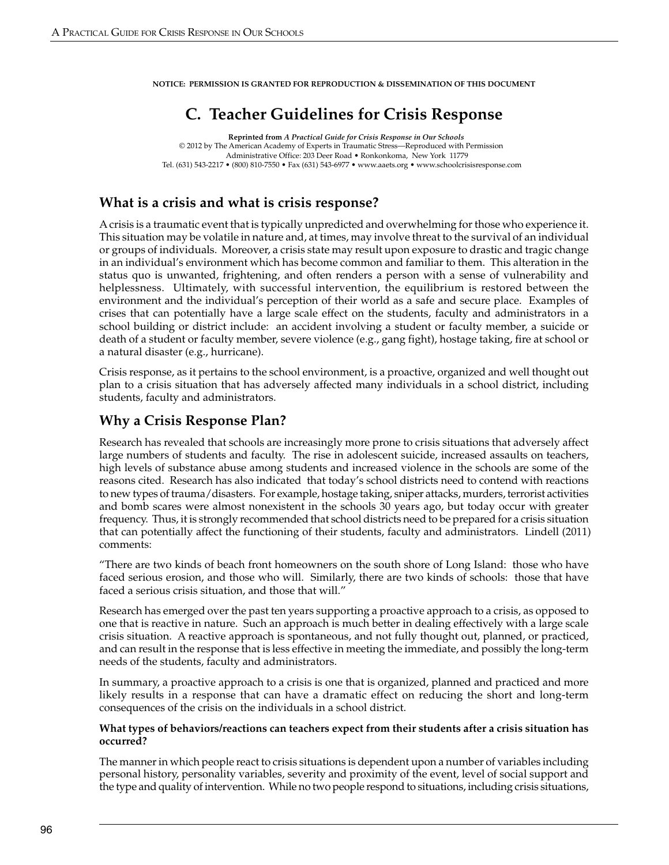#### **NOTICE: PERMISSION IS GRANTED FOR REPRODUCTION & DISSEMINATION OF THIS DOCUMENT**

# **C. Teacher Guidelines for Crisis Response**

Administrative Office: 203 Deer Road • Ronkonkoma, New York 11779 Tel. (631) 543-2217 • (800) 810-7550 • Fax (631) 543-6977 • www.aaets.org • www.schoolcrisisresponse.com © 2012 by The American Academy of Experts in Traumatic Stress—Reproduced with Permission **Reprinted from** *A Practical Guide for Crisis Response in Our Schools*

# **What is a crisis and what is crisis response?**

Acrisis is a traumatic event that is typically unpredicted and overwhelming for those who experience it. This situation may be volatile in nature and, at times, may involve threat to the survival of an individual or groups of individuals. Moreover, a crisis state may result upon exposure to drastic and tragic change in an individual's environment which has become common and familiar to them. This alteration in the status quo is unwanted, frightening, and often renders a person with a sense of vulnerability and helplessness. Ultimately, with successful intervention, the equilibrium is restored between the environment and the individual's perception of their world as a safe and secure place. Examples of crises that can potentially have a large scale effect on the students, faculty and administrators in a school building or district include: an accident involving a student or faculty member, a suicide or death of a student or faculty member, severe violence (e.g., gang fight), hostage taking, fire at school or a natural disaster (e.g., hurricane).

Crisis response, as it pertains to the school environment, is a proactive, organized and well thought out plan to a crisis situation that has adversely affected many individuals in a school district, including students, faculty and administrators.

## **Why a Crisis Response Plan?**

Research has revealed that schools are increasingly more prone to crisis situations that adversely affect large numbers of students and faculty. The rise in adolescent suicide, increased assaults on teachers, high levels of substance abuse among students and increased violence in the schools are some of the reasons cited. Research has also indicated that today's school districts need to contend with reactions to new types of trauma/disasters. For example, hostage taking, sniper attacks, murders, terrorist activities and bomb scares were almost nonexistent in the schools 30 years ago, but today occur with greater frequency. Thus, it is strongly recommended that school districts need to be prepared for a crisis situation comments: that can potentially affect the functioning of their students, faculty and administrators. Lindell (2011)

"There are two kinds of beach front homeowners on the south shore of Long Island: those who have faced serious erosion, and those who will. Similarly, there are two kinds of schools: those that have faced a serious crisis situation, and those that will."

Research has emerged over the past ten years supporting a proactive approach to a crisis, as opposed to one that is reactive in nature. Such an approach is much better in dealing effectively with a large scale crisis situation. A reactive approach is spontaneous, and not fully thought out, planned, or practiced, and can result in the response that is less effective in meeting the immediate, and possibly the long-term needs of the students, faculty and administrators.

In summary, a proactive approach to a crisis is one that is organized, planned and practiced and more likely results in a response that can have a dramatic effect on reducing the short and long-term consequences of the crisis on the individuals in a school district.

#### **What types of behaviors/reactions can teachers expect from their students after a crisis situation has occurred?**

The manner in which people react to crisis situations is dependent upon a number of variables including personal history, personality variables, severity and proximity of the event, level of social support and the type and quality of intervention. While no two people respond to situations, including crisis situations,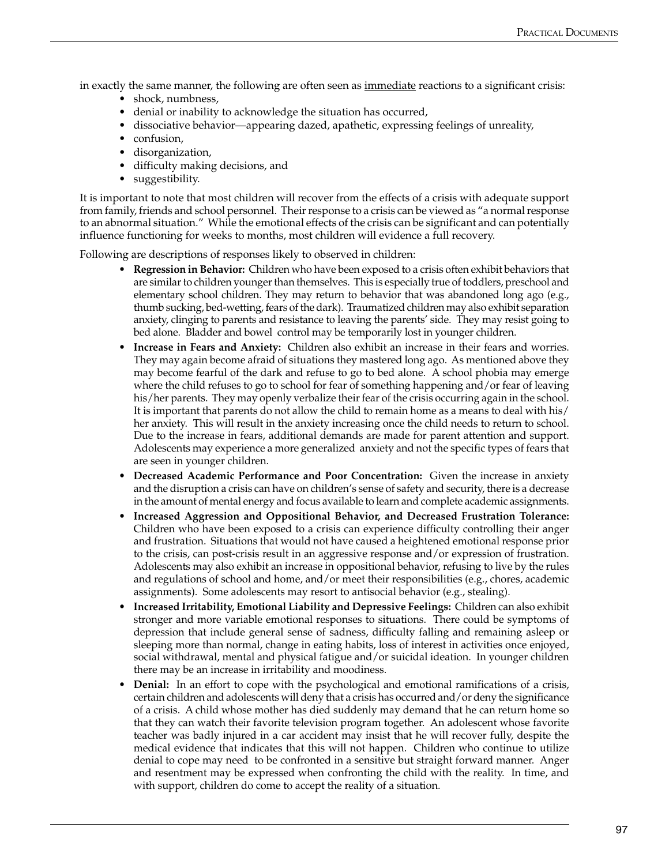in exactly the same manner, the following are often seen as immediate reactions to a significant crisis:

- shock, numbness,
- denial or inability to acknowledge the situation has occurred,
- dissociative behavior—appearing dazed, apathetic, expressing feelings of unreality,
- confusion,
- disorganization,
- difficulty making decisions, and
- suggestibility.

It is important to note that most children will recover from the effects of a crisis with adequate support from family, friends and school personnel. Their response to a crisis can be viewed as "a normal response to an abnormal situation." While the emotional effects of the crisis can be significant and can potentially influence functioning for weeks to months, most children will evidence a full recovery.

Following are descriptions of responses likely to observed in children:

- **Regression in Behavior:** Children who have been exposed to a crisis often exhibit behaviors that are similar to children younger than themselves. This is especially true of toddlers, preschool and elementary school children. They may return to behavior that was abandoned long ago (e.g., thumb sucking, bed-wetting, fears of the dark). Traumatized children may also exhibit separation anxiety, clinging to parents and resistance to leaving the parents' side. They may resist going to bed alone. Bladder and bowel control may be temporarily lost in younger children.
- **Increase in Fears and Anxiety:** Children also exhibit an increase in their fears and worries. They may again become afraid of situations they mastered long ago. As mentioned above they may become fearful of the dark and refuse to go to bed alone. A school phobia may emerge where the child refuses to go to school for fear of something happening and/or fear of leaving his/her parents. They may openly verbalize their fear of the crisis occurring again in the school. It is important that parents do not allow the child to remain home as a means to deal with his/ her anxiety. This will result in the anxiety increasing once the child needs to return to school. Due to the increase in fears, additional demands are made for parent attention and support. Adolescents may experience a more generalized anxiety and not the specific types of fears that are seen in younger children.
- **Decreased Academic Performance and Poor Concentration:** Given the increase in anxiety and the disruption a crisis can have on children's sense of safety and security, there is a decrease in the amount of mental energy and focus available to learn and complete academic assignments.
- **Increased Aggression and Oppositional Behavior, and Decreased Frustration Tolerance:** Children who have been exposed to a crisis can experience difficulty controlling their anger and frustration. Situations that would not have caused a heightened emotional response prior to the crisis, can post-crisis result in an aggressive response and/or expression of frustration. Adolescents may also exhibit an increase in oppositional behavior, refusing to live by the rules and regulations of school and home, and/or meet their responsibilities (e.g., chores, academic assignments). Some adolescents may resort to antisocial behavior (e.g., stealing).
- **Increased Irritability, Emotional Liability and Depressive Feelings:** Children can also exhibit stronger and more variable emotional responses to situations. There could be symptoms of depression that include general sense of sadness, difficulty falling and remaining asleep or sleeping more than normal, change in eating habits, loss of interest in activities once enjoyed, social withdrawal, mental and physical fatigue and/or suicidal ideation. In younger children there may be an increase in irritability and moodiness.
- **Denial:** In an effort to cope with the psychological and emotional ramifications of a crisis, certain children and adolescents will deny that a crisis has occurred and/or deny the significance of a crisis. A child whose mother has died suddenly may demand that he can return home so that they can watch their favorite television program together. An adolescent whose favorite teacher was badly injured in a car accident may insist that he will recover fully, despite the medical evidence that indicates that this will not happen. Children who continue to utilize denial to cope may need to be confronted in a sensitive but straight forward manner. Anger and resentment may be expressed when confronting the child with the reality. In time, and with support, children do come to accept the reality of a situation.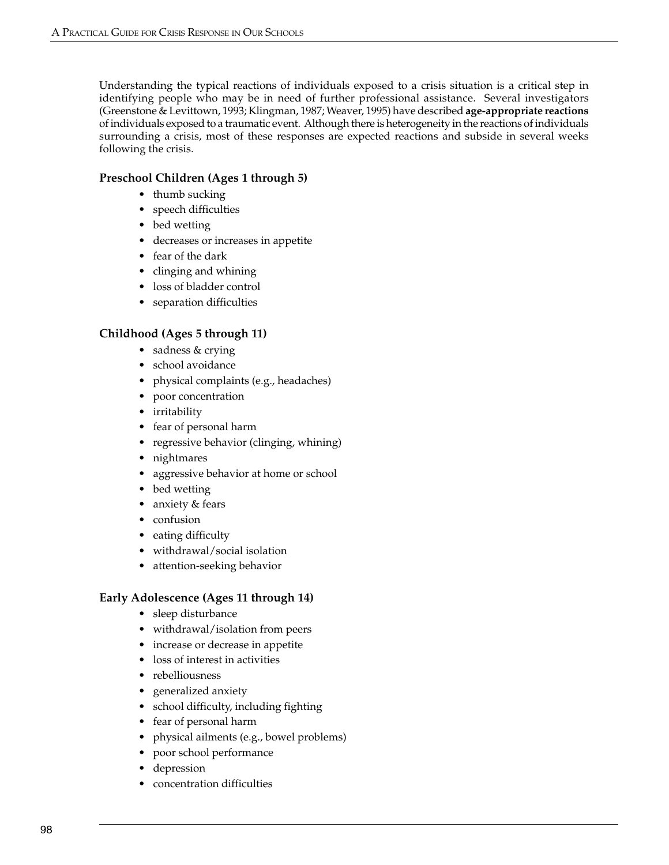Understanding the typical reactions of individuals exposed to a crisis situation is a critical step in identifying people who may be in need of further professional assistance. Several investigators (Greenstone & Levittown, 1993; Klingman, 1987; Weaver, 1995) have described **age-appropriate reactions** of individuals exposed to a traumatic event. Although there is heterogeneity in the reactions of individuals surrounding a crisis, most of these responses are expected reactions and subside in several weeks following the crisis.

### **Preschool Children (Ages 1 through 5)**

- thumb sucking
- speech difficulties
- bed wetting
- decreases or increases in appetite
- fear of the dark
- clinging and whining
- loss of bladder control
- separation difficulties

## **Childhood (Ages 5 through 11)**

- sadness & crying
- school avoidance
- physical complaints (e.g., headaches)
- poor concentration
- irritability
- fear of personal harm
- regressive behavior (clinging, whining)
- nightmares
- aggressive behavior at home or school
- bed wetting
- anxiety & fears
- confusion
- eating difficulty
- withdrawal/social isolation
- attention-seeking behavior

#### **Early Adolescence (Ages 11 through 14)**

- sleep disturbance
- withdrawal/isolation from peers
- increase or decrease in appetite
- loss of interest in activities
- rebelliousness
- generalized anxiety
- school difficulty, including fighting
- fear of personal harm
- physical ailments (e.g., bowel problems)
- poor school performance
- depression
- concentration difficulties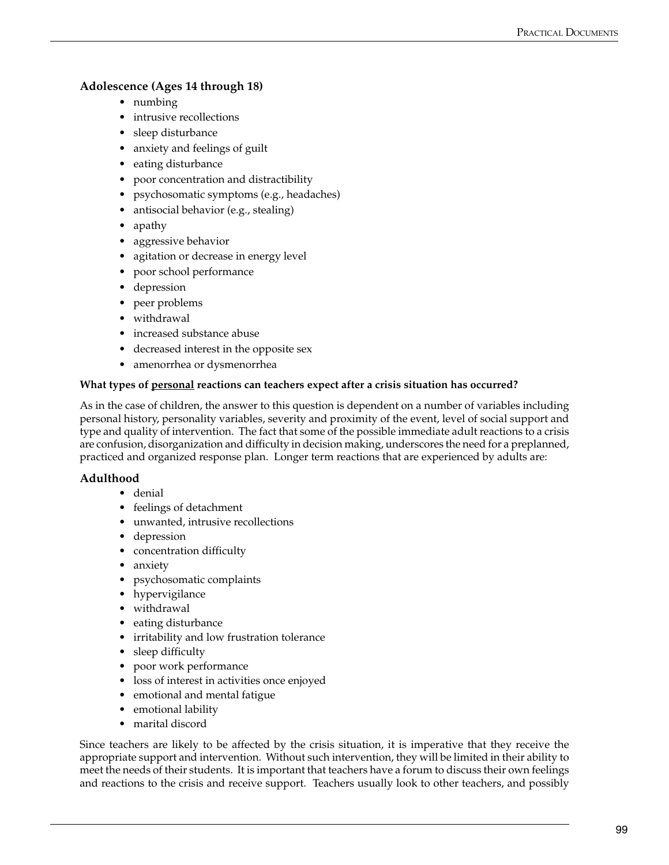#### **Adolescence (Ages 14 through 18)**

- numbing
- intrusive recollections
- sleep disturbance
- anxiety and feelings of guilt
- eating disturbance
- poor concentration and distractibility
- psychosomatic symptoms (e.g., headaches)
- antisocial behavior (e.g., stealing)
- apathy
- aggressive behavior
- agitation or decrease in energy level
- poor school performance
- depression
- peer problems
- withdrawal
- increased substance abuse
- decreased interest in the opposite sex
- amenorrhea or dysmenorrhea

#### **What types of personal reactions can teachers expect after a crisis situation has occurred?**

As in the case of children, the answer to this question is dependent on a number of variables including personal history, personality variables, severity and proximity of the event, level of social support and type and quality of intervention. The fact that some of the possible immediate adult reactions to a crisis are confusion, disorganization and difficulty in decision making, underscores the need for a preplanned, practiced and organized response plan. Longer term reactions that are experienced by adults are:

#### **Adulthood**

- denial
- feelings of detachment
- unwanted, intrusive recollections
- depression
- concentration difficulty
- anxiety
- psychosomatic complaints
- hypervigilance
- withdrawal
- eating disturbance
- irritability and low frustration tolerance
- sleep difficulty
- poor work performance
- loss of interest in activities once enjoyed
- emotional and mental fatigue
- emotional lability
- marital discord

Since teachers are likely to be affected by the crisis situation, it is imperative that they receive the appropriate support and intervention. Without such intervention, they will be limited in their ability to meet the needs of their students. It is important that teachers have a forum to discuss their own feelings and reactions to the crisis and receive support. Teachers usually look to other teachers, and possibly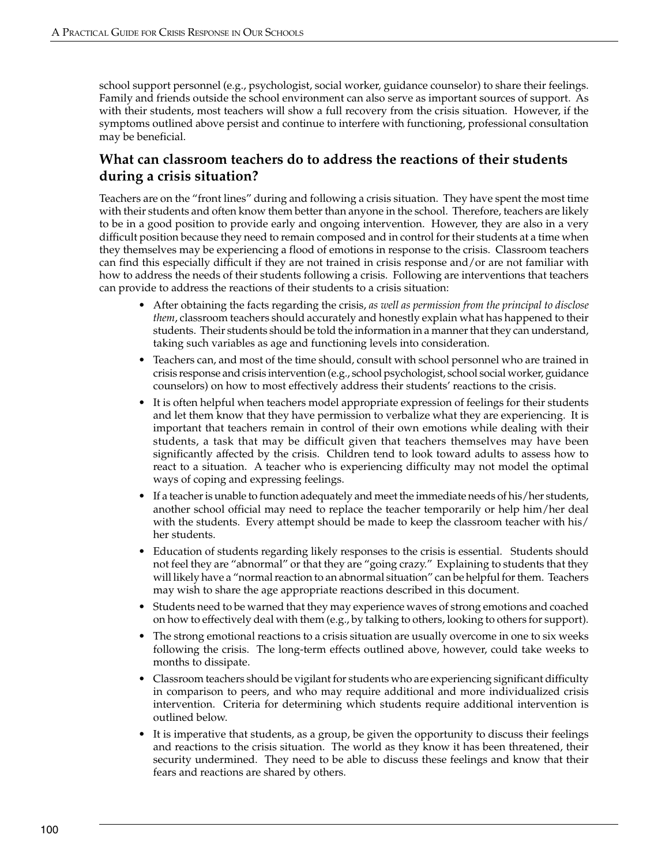school support personnel (e.g., psychologist, social worker, guidance counselor) to share their feelings. Family and friends outside the school environment can also serve as important sources of support. As with their students, most teachers will show a full recovery from the crisis situation. However, if the symptoms outlined above persist and continue to interfere with functioning, professional consultation may be beneficial.

# **What can classroom teachers do to address the reactions of their students during a crisis situation?**

Teachers are on the "front lines" during and following a crisis situation. They have spent the most time with their students and often know them better than anyone in the school. Therefore, teachers are likely to be in a good position to provide early and ongoing intervention. However, they are also in a very difficult position because they need to remain composed and in control for their students at a time when they themselves may be experiencing a flood of emotions in response to the crisis. Classroom teachers can find this especially difficult if they are not trained in crisis response and/or are not familiar with how to address the needs of their students following a crisis. Following are interventions that teachers can provide to address the reactions of their students to a crisis situation:

- After obtaining the facts regarding the crisis, *as well as permission from the principal to disclose them*, classroom teachers should accurately and honestly explain what has happened to their students. Their students should be told the information in a manner that they can understand, taking such variables as age and functioning levels into consideration.
- Teachers can, and most of the time should, consult with school personnel who are trained in crisis response and crisis intervention (e.g., school psychologist, school social worker, guidance counselors) on how to most effectively address their students' reactions to the crisis.
- It is often helpful when teachers model appropriate expression of feelings for their students and let them know that they have permission to verbalize what they are experiencing. It is important that teachers remain in control of their own emotions while dealing with their students, a task that may be difficult given that teachers themselves may have been significantly affected by the crisis. Children tend to look toward adults to assess how to react to a situation. A teacher who is experiencing difficulty may not model the optimal ways of coping and expressing feelings.
- If a teacher is unable to function adequately and meet the immediate needs of his/her students, another school official may need to replace the teacher temporarily or help him/her deal with the students. Every attempt should be made to keep the classroom teacher with his/ her students.
- Education of students regarding likely responses to the crisis is essential. Students should not feel they are "abnormal" or that they are "going crazy." Explaining to students that they will likely have a "normal reaction to an abnormal situation" can be helpful for them. Teachers may wish to share the age appropriate reactions described in this document.
- Students need to be warned that they may experience waves of strong emotions and coached on how to effectively deal with them (e.g., by talking to others, looking to others for support).
- The strong emotional reactions to a crisis situation are usually overcome in one to six weeks following the crisis. The long-term effects outlined above, however, could take weeks to months to dissipate.
- Classroom teachers should be vigilant for students who are experiencing significant difficulty in comparison to peers, and who may require additional and more individualized crisis intervention. Criteria for determining which students require additional intervention is outlined below.
- It is imperative that students, as a group, be given the opportunity to discuss their feelings and reactions to the crisis situation. The world as they know it has been threatened, their security undermined. They need to be able to discuss these feelings and know that their fears and reactions are shared by others.